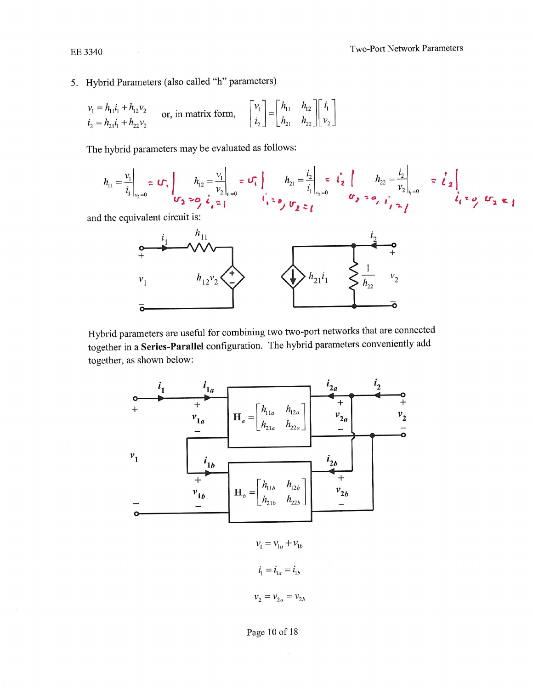Two-Port Network Parameters

5. Hybrid Parameters (also called "h" parameters)

$$
\begin{aligned}\nv_1 &= h_{11}i_1 + h_{12}v_2 \\
i_2 &= h_{21}i_1 + h_{22}v_2\n\end{aligned}\n\quad \text{or, in matrix form,}\n\quad\n\begin{bmatrix}\nv_1 \\
i_2\n\end{bmatrix}\n=\n\begin{bmatrix}\nh_{11} & h_{12} \\
h_{21} & h_{22}\n\end{bmatrix}\n\begin{bmatrix}\ni_1 \\
i_2\n\end{bmatrix}
$$

The hybrid parameters may be evaluated as follows:

$$
h_{11} = \frac{v_1}{i_1}\bigg|_{v_2=0} = \mathbf{U} \cdot \mathbf{U} \cdot \mathbf{V}_2 = \frac{v_1}{v_2}\bigg|_{i_1=0} = \mathbf{U} \cdot \mathbf{V}_1 = \frac{i_2}{i_1}\bigg|_{v_2=0} = \mathbf{U} \cdot \mathbf{V}_2 = \frac{i_2}{i_1}\bigg|_{v_2=0} = \mathbf{U} \cdot \mathbf{V}_2 = \frac{i_2}{v_2}\bigg|_{i_1=0} = \mathbf{U}_2 \cdot \mathbf{V}_1 = \mathbf{U}_1 \cdot \mathbf{V}_2 = \mathbf{U}_1
$$

and the equivalent circuit is:



Hybrid parameters are useful for combining two two-port networks that are connected together in a Series-Parallel configuration. The hybrid parameters conveniently add together, as shown below:



 $v_1 = v_{1a} + v_{1b}$  $i_1 = i_{1a} = i_{1b}$  $v_2 = v_{2a} = v_{2b}$ 

## Page 10 of 18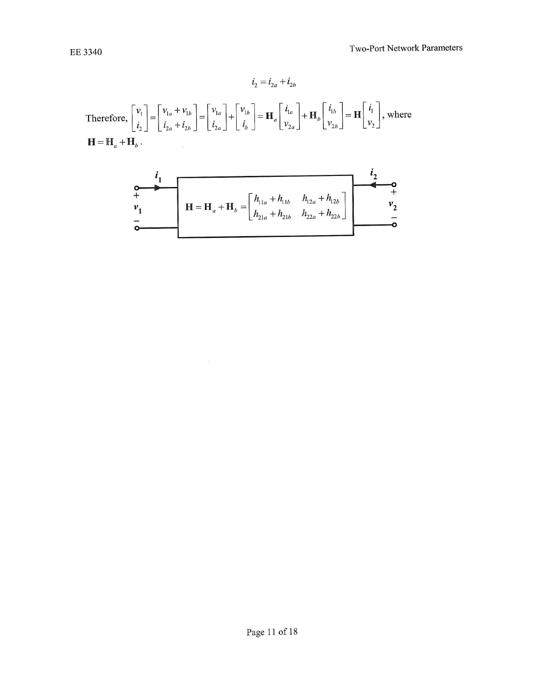$$
i_2 = i_{2a} + i_{2b}
$$
  
Therefore, 
$$
\begin{bmatrix} v_1 \\ i_2 \end{bmatrix} = \begin{bmatrix} v_{1a} + v_{1b} \\ i_{2a} + i_{2b} \end{bmatrix} = \begin{bmatrix} v_{1a} \\ i_{2a} \end{bmatrix} + \begin{bmatrix} v_{1b} \\ i_b \end{bmatrix} = \mathbf{H}_a \begin{bmatrix} i_{1a} \\ v_{2a} \end{bmatrix} + \mathbf{H}_b \begin{bmatrix} i_{1b} \\ v_{2b} \end{bmatrix} = \mathbf{H} \begin{bmatrix} i_1 \\ i_2 \end{bmatrix}
$$
, where 
$$
\mathbf{H} = \mathbf{H}_a + \mathbf{H}_b.
$$

$$
\begin{array}{c|c}\n i_1 \\
 + \\
 v_1 \\
 - \\
 \hline\n 0\n\end{array}\n\qquad\n\begin{array}{c}\n\mathbf{i}_1 \\
 + \\
 \mathbf{H} = \mathbf{H}_a + \mathbf{H}_b =\n\begin{bmatrix}\n h_{11a} + h_{11b} & h_{12a} + h_{12b} \\
 h_{21a} + h_{21b} & h_{22a} + h_{22b}\n\end{bmatrix}\n\qquad\n\begin{array}{c}\n \mathbf{i}_2 \\
 + \\
 v_2 \\
 - \\
 - \\
 \hline\n 0\n\end{array}
$$